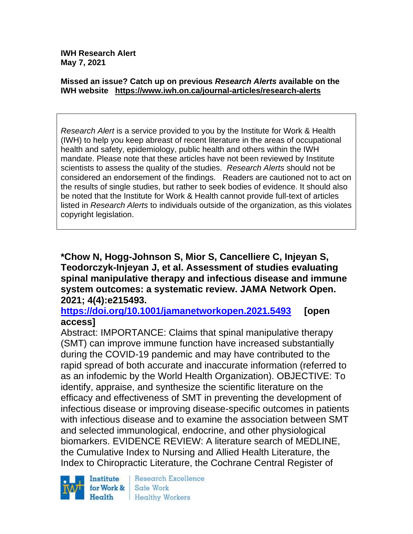**IWH Research Alert May 7, 2021**

#### **Missed an issue? Catch up on previous** *Research Alerts* **available on the [IWH website](http://www.iwh.on.ca/research-alerts) <https://www.iwh.on.ca/journal-articles/research-alerts>**

*Research Alert* is a service provided to you by the Institute for Work & Health (IWH) to help you keep abreast of recent literature in the areas of occupational health and safety, epidemiology, public health and others within the IWH mandate. Please note that these articles have not been reviewed by Institute scientists to assess the quality of the studies. *Research Alerts* should not be considered an endorsement of the findings. Readers are cautioned not to act on the results of single studies, but rather to seek bodies of evidence. It should also be noted that the Institute for Work & Health cannot provide full-text of articles listed in *Research Alerts* to individuals outside of the organization, as this violates copyright legislation.

**\*Chow N, Hogg-Johnson S, Mior S, Cancelliere C, Injeyan S, Teodorczyk-Injeyan J, et al. Assessment of studies evaluating spinal manipulative therapy and infectious disease and immune system outcomes: a systematic review. JAMA Network Open. 2021; 4(4):e215493.**

**<https://doi.org/10.1001/jamanetworkopen.2021.5493> [open access]**

Abstract: IMPORTANCE: Claims that spinal manipulative therapy (SMT) can improve immune function have increased substantially during the COVID-19 pandemic and may have contributed to the rapid spread of both accurate and inaccurate information (referred to as an infodemic by the World Health Organization). OBJECTIVE: To identify, appraise, and synthesize the scientific literature on the efficacy and effectiveness of SMT in preventing the development of infectious disease or improving disease-specific outcomes in patients with infectious disease and to examine the association between SMT and selected immunological, endocrine, and other physiological biomarkers. EVIDENCE REVIEW: A literature search of MEDLINE, the Cumulative Index to Nursing and Allied Health Literature, the Index to Chiropractic Literature, the Cochrane Central Register of



Research Excellence Safe Work **Healthy Workers**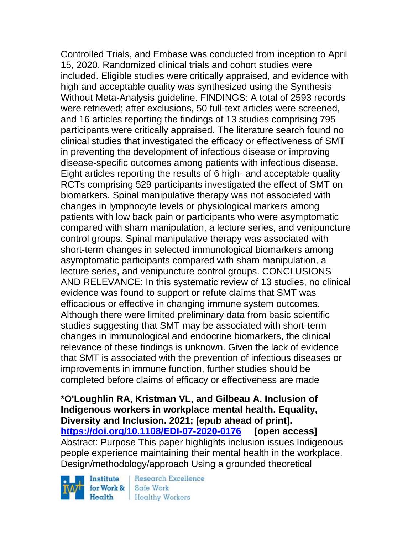Controlled Trials, and Embase was conducted from inception to April 15, 2020. Randomized clinical trials and cohort studies were included. Eligible studies were critically appraised, and evidence with high and acceptable quality was synthesized using the Synthesis Without Meta-Analysis guideline. FINDINGS: A total of 2593 records were retrieved; after exclusions, 50 full-text articles were screened, and 16 articles reporting the findings of 13 studies comprising 795 participants were critically appraised. The literature search found no clinical studies that investigated the efficacy or effectiveness of SMT in preventing the development of infectious disease or improving disease-specific outcomes among patients with infectious disease. Eight articles reporting the results of 6 high- and acceptable-quality RCTs comprising 529 participants investigated the effect of SMT on biomarkers. Spinal manipulative therapy was not associated with changes in lymphocyte levels or physiological markers among patients with low back pain or participants who were asymptomatic compared with sham manipulation, a lecture series, and venipuncture control groups. Spinal manipulative therapy was associated with short-term changes in selected immunological biomarkers among asymptomatic participants compared with sham manipulation, a lecture series, and venipuncture control groups. CONCLUSIONS AND RELEVANCE: In this systematic review of 13 studies, no clinical evidence was found to support or refute claims that SMT was efficacious or effective in changing immune system outcomes. Although there were limited preliminary data from basic scientific studies suggesting that SMT may be associated with short-term changes in immunological and endocrine biomarkers, the clinical relevance of these findings is unknown. Given the lack of evidence that SMT is associated with the prevention of infectious diseases or improvements in immune function, further studies should be completed before claims of efficacy or effectiveness are made

**\*O'Loughlin RA, Kristman VL, and Gilbeau A. Inclusion of Indigenous workers in workplace mental health. Equality, Diversity and Inclusion. 2021; [epub ahead of print]. <https://doi.org/10.1108/EDI-07-2020-0176> [open access]** Abstract: Purpose This paper highlights inclusion issues Indigenous people experience maintaining their mental health in the workplace. Design/methodology/approach Using a grounded theoretical

Institute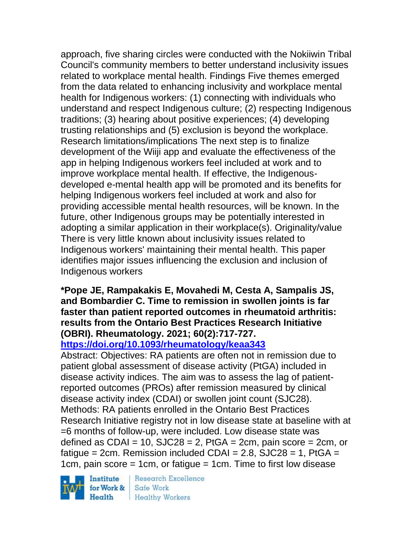approach, five sharing circles were conducted with the Nokiiwin Tribal Council's community members to better understand inclusivity issues related to workplace mental health. Findings Five themes emerged from the data related to enhancing inclusivity and workplace mental health for Indigenous workers: (1) connecting with individuals who understand and respect Indigenous culture; (2) respecting Indigenous traditions; (3) hearing about positive experiences; (4) developing trusting relationships and (5) exclusion is beyond the workplace. Research limitations/implications The next step is to finalize development of the Wiiji app and evaluate the effectiveness of the app in helping Indigenous workers feel included at work and to improve workplace mental health. If effective, the Indigenousdeveloped e-mental health app will be promoted and its benefits for helping Indigenous workers feel included at work and also for providing accessible mental health resources, will be known. In the future, other Indigenous groups may be potentially interested in adopting a similar application in their workplace(s). Originality/value There is very little known about inclusivity issues related to Indigenous workers' maintaining their mental health. This paper identifies major issues influencing the exclusion and inclusion of Indigenous workers

# **\*Pope JE, Rampakakis E, Movahedi M, Cesta A, Sampalis JS, and Bombardier C. Time to remission in swollen joints is far faster than patient reported outcomes in rheumatoid arthritis: results from the Ontario Best Practices Research Initiative (OBRI). Rheumatology. 2021; 60(2):717-727.**

**<https://doi.org/10.1093/rheumatology/keaa343>** 

Abstract: Objectives: RA patients are often not in remission due to patient global assessment of disease activity (PtGA) included in disease activity indices. The aim was to assess the lag of patientreported outcomes (PROs) after remission measured by clinical disease activity index (CDAI) or swollen joint count (SJC28). Methods: RA patients enrolled in the Ontario Best Practices Research Initiative registry not in low disease state at baseline with at =6 months of follow-up, were included. Low disease state was defined as CDAI = 10,  $SJC28 = 2$ , PtGA = 2cm, pain score = 2cm, or fatigue =  $2cm$ . Remission included CDAI =  $2.8$ , SJC $28 = 1$ , PtGA = 1cm, pain score = 1cm, or fatigue = 1cm. Time to first low disease

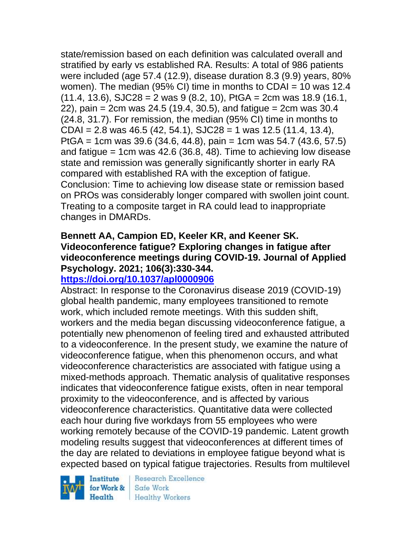state/remission based on each definition was calculated overall and stratified by early vs established RA. Results: A total of 986 patients were included (age 57.4 (12.9), disease duration 8.3 (9.9) years, 80% women). The median (95% CI) time in months to CDAI = 10 was 12.4  $(11.4, 13.6),$  SJC28 = 2 was 9  $(8.2, 10),$  PtGA = 2cm was 18.9  $(16.1,$  $22$ ), pain = 2cm was 24.5 (19.4, 30.5), and fatigue = 2cm was 30.4 (24.8, 31.7). For remission, the median (95% CI) time in months to  $CDAI = 2.8$  was 46.5 (42, 54.1), SJC28 = 1 was 12.5 (11.4, 13.4), PtGA = 1cm was 39.6 (34.6, 44.8), pain = 1cm was 54.7 (43.6, 57.5) and fatigue = 1cm was  $42.6$  (36.8, 48). Time to achieving low disease state and remission was generally significantly shorter in early RA compared with established RA with the exception of fatigue. Conclusion: Time to achieving low disease state or remission based on PROs was considerably longer compared with swollen joint count. Treating to a composite target in RA could lead to inappropriate changes in DMARDs.

# **Bennett AA, Campion ED, Keeler KR, and Keener SK. Videoconference fatigue? Exploring changes in fatigue after videoconference meetings during COVID-19. Journal of Applied Psychology. 2021; 106(3):330-344.**

# **<https://doi.org/10.1037/apl0000906>**

Abstract: In response to the Coronavirus disease 2019 (COVID-19) global health pandemic, many employees transitioned to remote work, which included remote meetings. With this sudden shift, workers and the media began discussing videoconference fatigue, a potentially new phenomenon of feeling tired and exhausted attributed to a videoconference. In the present study, we examine the nature of videoconference fatigue, when this phenomenon occurs, and what videoconference characteristics are associated with fatigue using a mixed-methods approach. Thematic analysis of qualitative responses indicates that videoconference fatigue exists, often in near temporal proximity to the videoconference, and is affected by various videoconference characteristics. Quantitative data were collected each hour during five workdays from 55 employees who were working remotely because of the COVID-19 pandemic. Latent growth modeling results suggest that videoconferences at different times of the day are related to deviations in employee fatigue beyond what is expected based on typical fatigue trajectories. Results from multilevel

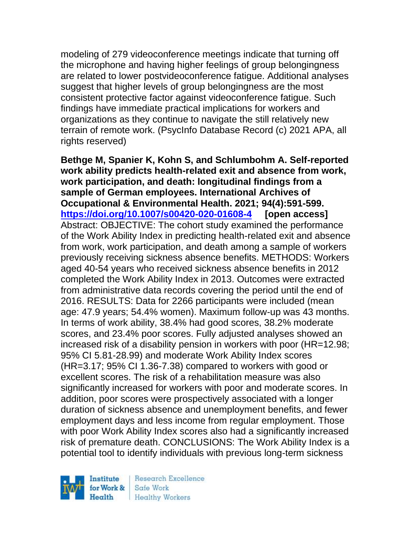modeling of 279 videoconference meetings indicate that turning off the microphone and having higher feelings of group belongingness are related to lower postvideoconference fatigue. Additional analyses suggest that higher levels of group belongingness are the most consistent protective factor against videoconference fatigue. Such findings have immediate practical implications for workers and organizations as they continue to navigate the still relatively new terrain of remote work. (PsycInfo Database Record (c) 2021 APA, all rights reserved)

**Bethge M, Spanier K, Kohn S, and Schlumbohm A. Self-reported work ability predicts health-related exit and absence from work, work participation, and death: longitudinal findings from a sample of German employees. International Archives of Occupational & Environmental Health. 2021; 94(4):591-599. <https://doi.org/10.1007/s00420-020-01608-4> [open access]** Abstract: OBJECTIVE: The cohort study examined the performance of the Work Ability Index in predicting health-related exit and absence from work, work participation, and death among a sample of workers previously receiving sickness absence benefits. METHODS: Workers aged 40-54 years who received sickness absence benefits in 2012 completed the Work Ability Index in 2013. Outcomes were extracted from administrative data records covering the period until the end of 2016. RESULTS: Data for 2266 participants were included (mean age: 47.9 years; 54.4% women). Maximum follow-up was 43 months. In terms of work ability, 38.4% had good scores, 38.2% moderate scores, and 23.4% poor scores. Fully adjusted analyses showed an increased risk of a disability pension in workers with poor (HR=12.98; 95% CI 5.81-28.99) and moderate Work Ability Index scores (HR=3.17; 95% CI 1.36-7.38) compared to workers with good or excellent scores. The risk of a rehabilitation measure was also significantly increased for workers with poor and moderate scores. In addition, poor scores were prospectively associated with a longer duration of sickness absence and unemployment benefits, and fewer employment days and less income from regular employment. Those with poor Work Ability Index scores also had a significantly increased risk of premature death. CONCLUSIONS: The Work Ability Index is a potential tool to identify individuals with previous long-term sickness

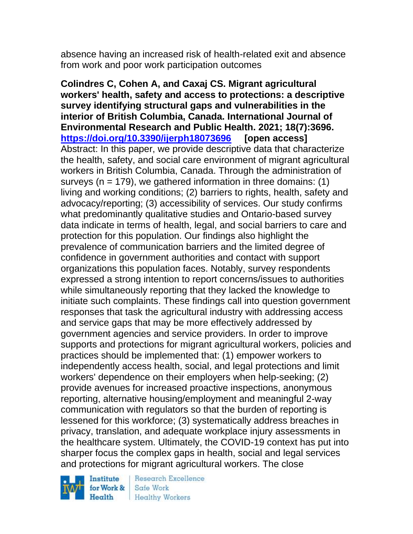absence having an increased risk of health-related exit and absence from work and poor work participation outcomes

**Colindres C, Cohen A, and Caxaj CS. Migrant agricultural workers' health, safety and access to protections: a descriptive survey identifying structural gaps and vulnerabilities in the interior of British Columbia, Canada. International Journal of Environmental Research and Public Health. 2021; 18(7):3696. <https://doi.org/10.3390/ijerph18073696> [open access]** Abstract: In this paper, we provide descriptive data that characterize the health, safety, and social care environment of migrant agricultural workers in British Columbia, Canada. Through the administration of surveys ( $n = 179$ ), we gathered information in three domains: (1) living and working conditions; (2) barriers to rights, health, safety and advocacy/reporting; (3) accessibility of services. Our study confirms what predominantly qualitative studies and Ontario-based survey data indicate in terms of health, legal, and social barriers to care and protection for this population. Our findings also highlight the prevalence of communication barriers and the limited degree of confidence in government authorities and contact with support organizations this population faces. Notably, survey respondents expressed a strong intention to report concerns/issues to authorities while simultaneously reporting that they lacked the knowledge to initiate such complaints. These findings call into question government responses that task the agricultural industry with addressing access and service gaps that may be more effectively addressed by government agencies and service providers. In order to improve supports and protections for migrant agricultural workers, policies and practices should be implemented that: (1) empower workers to independently access health, social, and legal protections and limit workers' dependence on their employers when help-seeking; (2) provide avenues for increased proactive inspections, anonymous reporting, alternative housing/employment and meaningful 2-way communication with regulators so that the burden of reporting is lessened for this workforce; (3) systematically address breaches in privacy, translation, and adequate workplace injury assessments in the healthcare system. Ultimately, the COVID-19 context has put into sharper focus the complex gaps in health, social and legal services and protections for migrant agricultural workers. The close

Institute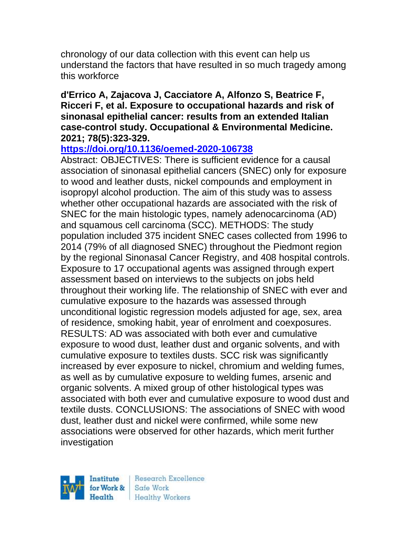chronology of our data collection with this event can help us understand the factors that have resulted in so much tragedy among this workforce

#### **d'Errico A, Zajacova J, Cacciatore A, Alfonzo S, Beatrice F, Ricceri F, et al. Exposure to occupational hazards and risk of sinonasal epithelial cancer: results from an extended Italian case-control study. Occupational & Environmental Medicine. 2021; 78(5):323-329.**

# **<https://doi.org/10.1136/oemed-2020-106738>**

Abstract: OBJECTIVES: There is sufficient evidence for a causal association of sinonasal epithelial cancers (SNEC) only for exposure to wood and leather dusts, nickel compounds and employment in isopropyl alcohol production. The aim of this study was to assess whether other occupational hazards are associated with the risk of SNEC for the main histologic types, namely adenocarcinoma (AD) and squamous cell carcinoma (SCC). METHODS: The study population included 375 incident SNEC cases collected from 1996 to 2014 (79% of all diagnosed SNEC) throughout the Piedmont region by the regional Sinonasal Cancer Registry, and 408 hospital controls. Exposure to 17 occupational agents was assigned through expert assessment based on interviews to the subjects on jobs held throughout their working life. The relationship of SNEC with ever and cumulative exposure to the hazards was assessed through unconditional logistic regression models adjusted for age, sex, area of residence, smoking habit, year of enrolment and coexposures. RESULTS: AD was associated with both ever and cumulative exposure to wood dust, leather dust and organic solvents, and with cumulative exposure to textiles dusts. SCC risk was significantly increased by ever exposure to nickel, chromium and welding fumes, as well as by cumulative exposure to welding fumes, arsenic and organic solvents. A mixed group of other histological types was associated with both ever and cumulative exposure to wood dust and textile dusts. CONCLUSIONS: The associations of SNEC with wood dust, leather dust and nickel were confirmed, while some new associations were observed for other hazards, which merit further investigation

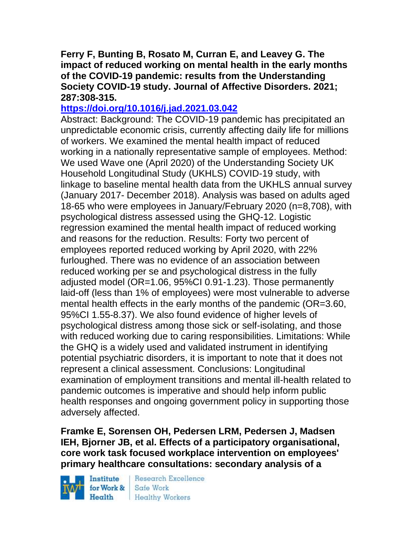#### **Ferry F, Bunting B, Rosato M, Curran E, and Leavey G. The impact of reduced working on mental health in the early months of the COVID-19 pandemic: results from the Understanding Society COVID-19 study. Journal of Affective Disorders. 2021; 287:308-315.**

# **<https://doi.org/10.1016/j.jad.2021.03.042>**

Abstract: Background: The COVID-19 pandemic has precipitated an unpredictable economic crisis, currently affecting daily life for millions of workers. We examined the mental health impact of reduced working in a nationally representative sample of employees. Method: We used Wave one (April 2020) of the Understanding Society UK Household Longitudinal Study (UKHLS) COVID-19 study, with linkage to baseline mental health data from the UKHLS annual survey (January 2017- December 2018). Analysis was based on adults aged 18-65 who were employees in January/February 2020 (n=8,708), with psychological distress assessed using the GHQ-12. Logistic regression examined the mental health impact of reduced working and reasons for the reduction. Results: Forty two percent of employees reported reduced working by April 2020, with 22% furloughed. There was no evidence of an association between reduced working per se and psychological distress in the fully adjusted model (OR=1.06, 95%CI 0.91-1.23). Those permanently laid-off (less than 1% of employees) were most vulnerable to adverse mental health effects in the early months of the pandemic (OR=3.60, 95%CI 1.55-8.37). We also found evidence of higher levels of psychological distress among those sick or self-isolating, and those with reduced working due to caring responsibilities. Limitations: While the GHQ is a widely used and validated instrument in identifying potential psychiatric disorders, it is important to note that it does not represent a clinical assessment. Conclusions: Longitudinal examination of employment transitions and mental ill-health related to pandemic outcomes is imperative and should help inform public health responses and ongoing government policy in supporting those adversely affected.

**Framke E, Sorensen OH, Pedersen LRM, Pedersen J, Madsen IEH, Bjorner JB, et al. Effects of a participatory organisational, core work task focused workplace intervention on employees' primary healthcare consultations: secondary analysis of a** 

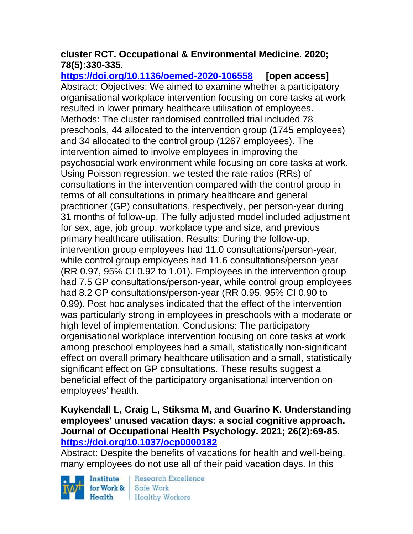# **cluster RCT. Occupational & Environmental Medicine. 2020; 78(5):330-335.**

**<https://doi.org/10.1136/oemed-2020-106558> [open access]** Abstract: Objectives: We aimed to examine whether a participatory organisational workplace intervention focusing on core tasks at work resulted in lower primary healthcare utilisation of employees. Methods: The cluster randomised controlled trial included 78 preschools, 44 allocated to the intervention group (1745 employees) and 34 allocated to the control group (1267 employees). The intervention aimed to involve employees in improving the psychosocial work environment while focusing on core tasks at work. Using Poisson regression, we tested the rate ratios (RRs) of consultations in the intervention compared with the control group in terms of all consultations in primary healthcare and general practitioner (GP) consultations, respectively, per person-year during 31 months of follow-up. The fully adjusted model included adjustment for sex, age, job group, workplace type and size, and previous primary healthcare utilisation. Results: During the follow-up, intervention group employees had 11.0 consultations/person-year, while control group employees had 11.6 consultations/person-year (RR 0.97, 95% CI 0.92 to 1.01). Employees in the intervention group had 7.5 GP consultations/person-year, while control group employees had 8.2 GP consultations/person-year (RR 0.95, 95% CI 0.90 to 0.99). Post hoc analyses indicated that the effect of the intervention was particularly strong in employees in preschools with a moderate or high level of implementation. Conclusions: The participatory organisational workplace intervention focusing on core tasks at work among preschool employees had a small, statistically non-significant effect on overall primary healthcare utilisation and a small, statistically significant effect on GP consultations. These results suggest a beneficial effect of the participatory organisational intervention on employees' health.

# **Kuykendall L, Craig L, Stiksma M, and Guarino K. Understanding employees' unused vacation days: a social cognitive approach. Journal of Occupational Health Psychology. 2021; 26(2):69-85. <https://doi.org/10.1037/ocp0000182>**

Abstract: Despite the benefits of vacations for health and well-being, many employees do not use all of their paid vacation days. In this

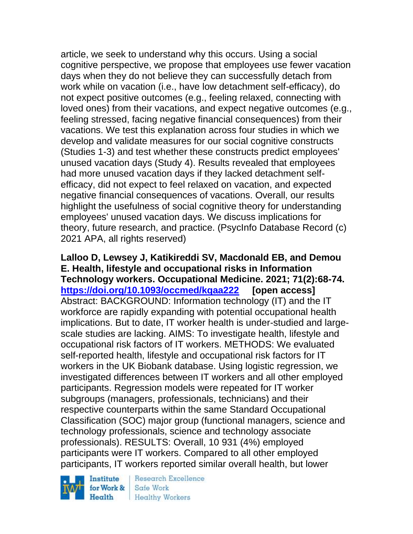article, we seek to understand why this occurs. Using a social cognitive perspective, we propose that employees use fewer vacation days when they do not believe they can successfully detach from work while on vacation (i.e., have low detachment self-efficacy), do not expect positive outcomes (e.g., feeling relaxed, connecting with loved ones) from their vacations, and expect negative outcomes (e.g., feeling stressed, facing negative financial consequences) from their vacations. We test this explanation across four studies in which we develop and validate measures for our social cognitive constructs (Studies 1-3) and test whether these constructs predict employees' unused vacation days (Study 4). Results revealed that employees had more unused vacation days if they lacked detachment selfefficacy, did not expect to feel relaxed on vacation, and expected negative financial consequences of vacations. Overall, our results highlight the usefulness of social cognitive theory for understanding employees' unused vacation days. We discuss implications for theory, future research, and practice. (PsycInfo Database Record (c) 2021 APA, all rights reserved)

**Lalloo D, Lewsey J, Katikireddi SV, Macdonald EB, and Demou E. Health, lifestyle and occupational risks in Information Technology workers. Occupational Medicine. 2021; 71(2):68-74. <https://doi.org/10.1093/occmed/kqaa222> [open access]** Abstract: BACKGROUND: Information technology (IT) and the IT workforce are rapidly expanding with potential occupational health implications. But to date, IT worker health is under-studied and largescale studies are lacking. AIMS: To investigate health, lifestyle and occupational risk factors of IT workers. METHODS: We evaluated self-reported health, lifestyle and occupational risk factors for IT workers in the UK Biobank database. Using logistic regression, we investigated differences between IT workers and all other employed participants. Regression models were repeated for IT worker subgroups (managers, professionals, technicians) and their respective counterparts within the same Standard Occupational Classification (SOC) major group (functional managers, science and technology professionals, science and technology associate professionals). RESULTS: Overall, 10 931 (4%) employed participants were IT workers. Compared to all other employed participants, IT workers reported similar overall health, but lower

Institute for Work &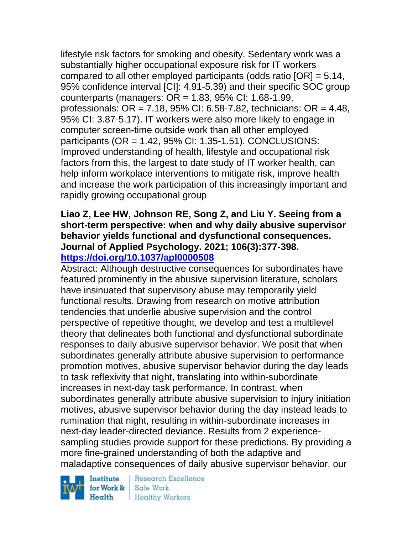lifestyle risk factors for smoking and obesity. Sedentary work was a substantially higher occupational exposure risk for IT workers compared to all other employed participants (odds ratio [OR] = 5.14, 95% confidence interval [CI]: 4.91-5.39) and their specific SOC group counterparts (managers: OR = 1.83, 95% CI: 1.68-1.99, professionals: OR = 7.18, 95% CI: 6.58-7.82, technicians: OR = 4.48, 95% CI: 3.87-5.17). IT workers were also more likely to engage in computer screen-time outside work than all other employed participants (OR = 1.42, 95% CI: 1.35-1.51). CONCLUSIONS: Improved understanding of health, lifestyle and occupational risk factors from this, the largest to date study of IT worker health, can help inform workplace interventions to mitigate risk, improve health and increase the work participation of this increasingly important and rapidly growing occupational group

# **Liao Z, Lee HW, Johnson RE, Song Z, and Liu Y. Seeing from a short-term perspective: when and why daily abusive supervisor behavior yields functional and dysfunctional consequences. Journal of Applied Psychology. 2021; 106(3):377-398. <https://doi.org/10.1037/apl0000508>**

Abstract: Although destructive consequences for subordinates have featured prominently in the abusive supervision literature, scholars have insinuated that supervisory abuse may temporarily yield functional results. Drawing from research on motive attribution tendencies that underlie abusive supervision and the control perspective of repetitive thought, we develop and test a multilevel theory that delineates both functional and dysfunctional subordinate responses to daily abusive supervisor behavior. We posit that when subordinates generally attribute abusive supervision to performance promotion motives, abusive supervisor behavior during the day leads to task reflexivity that night, translating into within-subordinate increases in next-day task performance. In contrast, when subordinates generally attribute abusive supervision to injury initiation motives, abusive supervisor behavior during the day instead leads to rumination that night, resulting in within-subordinate increases in next-day leader-directed deviance. Results from 2 experiencesampling studies provide support for these predictions. By providing a more fine-grained understanding of both the adaptive and maladaptive consequences of daily abusive supervisor behavior, our

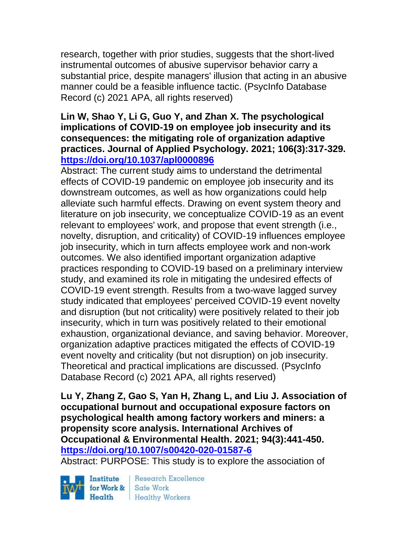research, together with prior studies, suggests that the short-lived instrumental outcomes of abusive supervisor behavior carry a substantial price, despite managers' illusion that acting in an abusive manner could be a feasible influence tactic. (PsycInfo Database Record (c) 2021 APA, all rights reserved)

## **Lin W, Shao Y, Li G, Guo Y, and Zhan X. The psychological implications of COVID-19 on employee job insecurity and its consequences: the mitigating role of organization adaptive practices. Journal of Applied Psychology. 2021; 106(3):317-329. <https://doi.org/10.1037/apl0000896>**

Abstract: The current study aims to understand the detrimental effects of COVID-19 pandemic on employee job insecurity and its downstream outcomes, as well as how organizations could help alleviate such harmful effects. Drawing on event system theory and literature on job insecurity, we conceptualize COVID-19 as an event relevant to employees' work, and propose that event strength (i.e., novelty, disruption, and criticality) of COVID-19 influences employee job insecurity, which in turn affects employee work and non-work outcomes. We also identified important organization adaptive practices responding to COVID-19 based on a preliminary interview study, and examined its role in mitigating the undesired effects of COVID-19 event strength. Results from a two-wave lagged survey study indicated that employees' perceived COVID-19 event novelty and disruption (but not criticality) were positively related to their job insecurity, which in turn was positively related to their emotional exhaustion, organizational deviance, and saving behavior. Moreover, organization adaptive practices mitigated the effects of COVID-19 event novelty and criticality (but not disruption) on job insecurity. Theoretical and practical implications are discussed. (PsycInfo Database Record (c) 2021 APA, all rights reserved)

**Lu Y, Zhang Z, Gao S, Yan H, Zhang L, and Liu J. Association of occupational burnout and occupational exposure factors on psychological health among factory workers and miners: a propensity score analysis. International Archives of Occupational & Environmental Health. 2021; 94(3):441-450. <https://doi.org/10.1007/s00420-020-01587-6>** 

Abstract: PURPOSE: This study is to explore the association of

Institute Health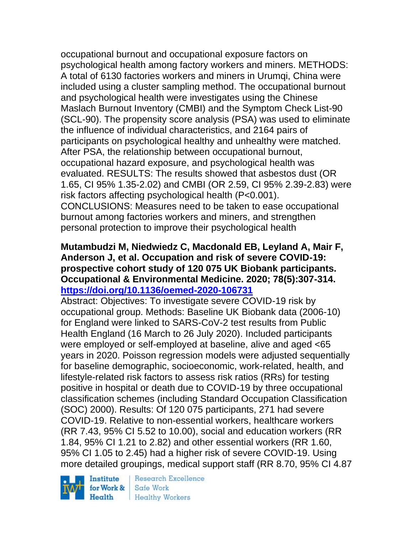occupational burnout and occupational exposure factors on psychological health among factory workers and miners. METHODS: A total of 6130 factories workers and miners in Urumqi, China were included using a cluster sampling method. The occupational burnout and psychological health were investigates using the Chinese Maslach Burnout Inventory (CMBI) and the Symptom Check List-90 (SCL-90). The propensity score analysis (PSA) was used to eliminate the influence of individual characteristics, and 2164 pairs of participants on psychological healthy and unhealthy were matched. After PSA, the relationship between occupational burnout, occupational hazard exposure, and psychological health was evaluated. RESULTS: The results showed that asbestos dust (OR 1.65, CI 95% 1.35-2.02) and CMBI (OR 2.59, CI 95% 2.39-2.83) were risk factors affecting psychological health (P<0.001). CONCLUSIONS: Measures need to be taken to ease occupational burnout among factories workers and miners, and strengthen personal protection to improve their psychological health

# **Mutambudzi M, Niedwiedz C, Macdonald EB, Leyland A, Mair F, Anderson J, et al. Occupation and risk of severe COVID-19: prospective cohort study of 120 075 UK Biobank participants. Occupational & Environmental Medicine. 2020; 78(5):307-314. <https://doi.org/10.1136/oemed-2020-106731>**

Abstract: Objectives: To investigate severe COVID-19 risk by occupational group. Methods: Baseline UK Biobank data (2006-10) for England were linked to SARS-CoV-2 test results from Public Health England (16 March to 26 July 2020). Included participants were employed or self-employed at baseline, alive and aged <65 years in 2020. Poisson regression models were adjusted sequentially for baseline demographic, socioeconomic, work-related, health, and lifestyle-related risk factors to assess risk ratios (RRs) for testing positive in hospital or death due to COVID-19 by three occupational classification schemes (including Standard Occupation Classification (SOC) 2000). Results: Of 120 075 participants, 271 had severe COVID-19. Relative to non-essential workers, healthcare workers (RR 7.43, 95% CI 5.52 to 10.00), social and education workers (RR 1.84, 95% CI 1.21 to 2.82) and other essential workers (RR 1.60, 95% CI 1.05 to 2.45) had a higher risk of severe COVID-19. Using more detailed groupings, medical support staff (RR 8.70, 95% CI 4.87

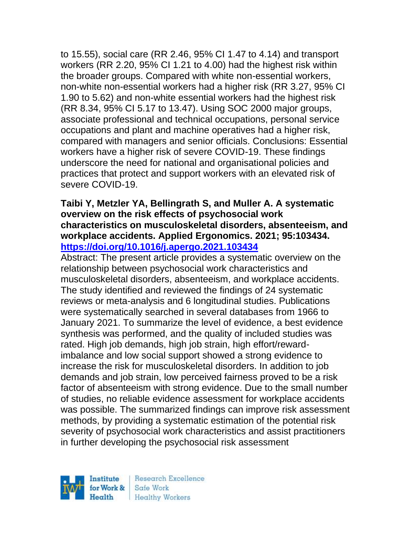to 15.55), social care (RR 2.46, 95% CI 1.47 to 4.14) and transport workers (RR 2.20, 95% CI 1.21 to 4.00) had the highest risk within the broader groups. Compared with white non-essential workers, non-white non-essential workers had a higher risk (RR 3.27, 95% CI 1.90 to 5.62) and non-white essential workers had the highest risk (RR 8.34, 95% CI 5.17 to 13.47). Using SOC 2000 major groups, associate professional and technical occupations, personal service occupations and plant and machine operatives had a higher risk, compared with managers and senior officials. Conclusions: Essential workers have a higher risk of severe COVID-19. These findings underscore the need for national and organisational policies and practices that protect and support workers with an elevated risk of severe COVID-19.

## **Taibi Y, Metzler YA, Bellingrath S, and Muller A. A systematic overview on the risk effects of psychosocial work characteristics on musculoskeletal disorders, absenteeism, and workplace accidents. Applied Ergonomics. 2021; 95:103434. <https://doi.org/10.1016/j.apergo.2021.103434>**

Abstract: The present article provides a systematic overview on the relationship between psychosocial work characteristics and musculoskeletal disorders, absenteeism, and workplace accidents. The study identified and reviewed the findings of 24 systematic reviews or meta-analysis and 6 longitudinal studies. Publications were systematically searched in several databases from 1966 to January 2021. To summarize the level of evidence, a best evidence synthesis was performed, and the quality of included studies was rated. High job demands, high job strain, high effort/rewardimbalance and low social support showed a strong evidence to increase the risk for musculoskeletal disorders. In addition to job demands and job strain, low perceived fairness proved to be a risk factor of absenteeism with strong evidence. Due to the small number of studies, no reliable evidence assessment for workplace accidents was possible. The summarized findings can improve risk assessment methods, by providing a systematic estimation of the potential risk severity of psychosocial work characteristics and assist practitioners in further developing the psychosocial risk assessment